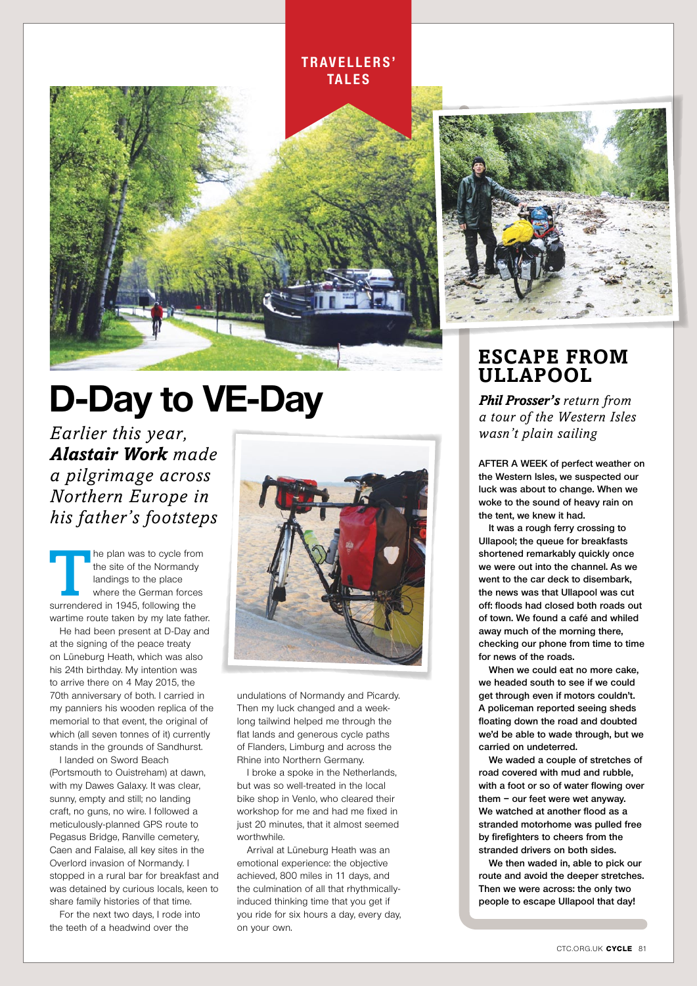#### **t r av e l l e r s ' tales**



## **D-Day to VE-Day**

*Earlier this year, Alastair Work made a pilgrimage across Northern Europe in his father's footsteps*

The plan was to cycle from<br>the site of the Normandy<br>landings to the place<br>where the German forces<br>surrendered in 1945, following the the site of the Normandy landings to the place where the German forces surrendered in 1945, following the wartime route taken by my late father.

He had been present at D-Day and at the signing of the peace treaty on Lüneburg Heath, which was also his 24th birthday. My intention was to arrive there on 4 May 2015, the 70th anniversary of both. I carried in my panniers his wooden replica of the memorial to that event, the original of which (all seven tonnes of it) currently stands in the grounds of Sandhurst.

I landed on Sword Beach (Portsmouth to Ouistreham) at dawn, with my Dawes Galaxy. It was clear, sunny, empty and still; no landing craft, no guns, no wire. I followed a meticulously-planned GPS route to Pegasus Bridge, Ranville cemetery, Caen and Falaise, all key sites in the Overlord invasion of Normandy. I stopped in a rural bar for breakfast and was detained by curious locals, keen to share family histories of that time.

For the next two days, I rode into the teeth of a headwind over the



undulations of Normandy and Picardy. Then my luck changed and a weeklong tailwind helped me through the flat lands and generous cycle paths of Flanders, Limburg and across the Rhine into Northern Germany.

I broke a spoke in the Netherlands, but was so well-treated in the local bike shop in Venlo, who cleared their workshop for me and had me fixed in just 20 minutes, that it almost seemed worthwhile.

Arrival at Lüneburg Heath was an emotional experience: the objective achieved, 800 miles in 11 days, and the culmination of all that rhythmicallyinduced thinking time that you get if you ride for six hours a day, every day, on your own.



#### **Escape from Ullapool**

*Phil Prosser's return from a tour of the Western Isles wasn't plain sailing*

**AFTER A WEEK of perfect weather on the Western Isles, we suspected our luck was about to change. When we woke to the sound of heavy rain on the tent, we knew it had.**

**It was a rough ferry crossing to Ullapool; the queue for breakfasts shortened remarkably quickly once we were out into the channel. As we went to the car deck to disembark, the news was that Ullapool was cut off: floods had closed both roads out of town. We found a café and whiled away much of the morning there, checking our phone from time to time for news of the roads.**

**When we could eat no more cake, we headed south to see if we could get through even if motors couldn't. A policeman reported seeing sheds floating down the road and doubted we'd be able to wade through, but we carried on undeterred.**

**We waded a couple of stretches of road covered with mud and rubble, with a foot or so of water flowing over them – our feet were wet anyway. We watched at another flood as a stranded motorhome was pulled free by firefighters to cheers from the stranded drivers on both sides.** 

**We then waded in, able to pick our route and avoid the deeper stretches. Then we were across: the only two people to escape Ullapool that day!**